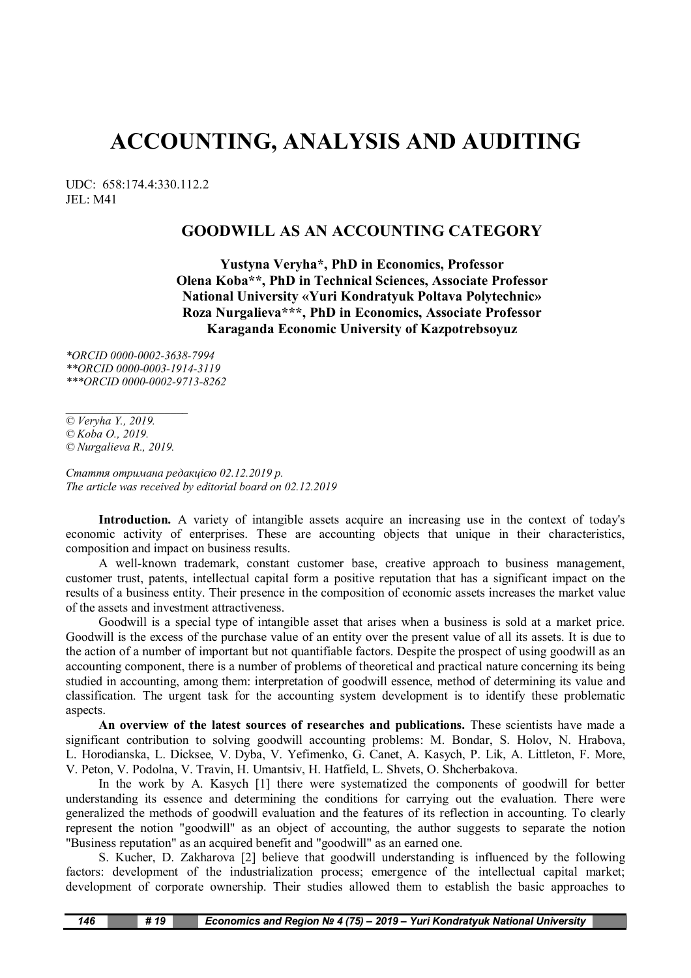# **ACCOUNTING, ANALYSIS AND AUDITING**

UDC: 658:174.4:330.112.2 JEL: M41

## **GOODWILL AS AN ACCOUNTING CATEGORY**

**Yustyna Veryha\*, PhD in Economics, Professor Olena Koba\*\*, PhD in Technical Sciences, Associate Professor National University «Yuri Kondratyuk Poltava Polytechnic» Roza Nurgalieva\*\*\*, PhD in Economics, Associate Professor Karaganda Economic University of Kazpotrebsoyuz**

*\*ORCID 0000-0002-3638-7994 \*\*ORCID 0000-0003-1914-3119 \*\*\*ORCID 0000-0002-9713-8262*

*© Veryha Y., 2019. © Koba O., 2019. © Nurgalieva R., 2019.*

*\_\_\_\_\_\_\_\_\_\_\_\_\_\_\_\_\_\_\_\_\_*

*Стаття отримана редакцією 02.12.2019 р. The article was received by editorial board on 02.12.2019*

**Introduction.** A variety of intangible assets acquire an increasing use in the context of today's economic activity of enterprises. These are accounting objects that unique in their characteristics, composition and impact on business results.

A well-known trademark, constant customer base, creative approach to business management, customer trust, patents, intellectual capital form a positive reputation that has a significant impact on the results of a business entity. Their presence in the composition of economic assets increases the market value of the assets and investment attractiveness.

Goodwill is a special type of intangible asset that arises when a business is sold at a market price. Goodwill is the excess of the purchase value of an entity over the present value of all its assets. It is due to the action of a number of important but not quantifiable factors. Despite the prospect of using goodwill as an accounting component, there is a number of problems of theoretical and practical nature concerning its being studied in accounting, among them: interpretation of goodwill essence, method of determining its value and classification. The urgent task for the accounting system development is to identify these problematic aspects.

**An overview of the latest sources of researches and publications.** These scientists have made a significant contribution to solving goodwill accounting problems: М. Bondar, S. Holov, N. Hrabova, L. Horodianska, L. Dicksee, V. Dyba, V. Yefimenko, G. Canet, A. Kasych, P. Lik, А. Littleton, F. More, V. Peton, V. Podolna, V. Travin, H. Umantsiv, H. Hatfield, L. Shvets, O. Shcherbakova.

In the work by A. Kasych [1] there were systematized the components of goodwill for better understanding its essence and determining the conditions for carrying out the evaluation. There were generalized the methods of goodwill evaluation and the features of its reflection in accounting. To clearly represent the notion "goodwill" as an object of accounting, the author suggests to separate the notion "Business reputation" as an acquired benefit and "goodwill" as an earned one.

S. Kucher, D. Zakharova [2] believe that goodwill understanding is influenced by the following factors: development of the industrialization process; emergence of the intellectual capital market; development of corporate ownership. Their studies allowed them to establish the basic approaches to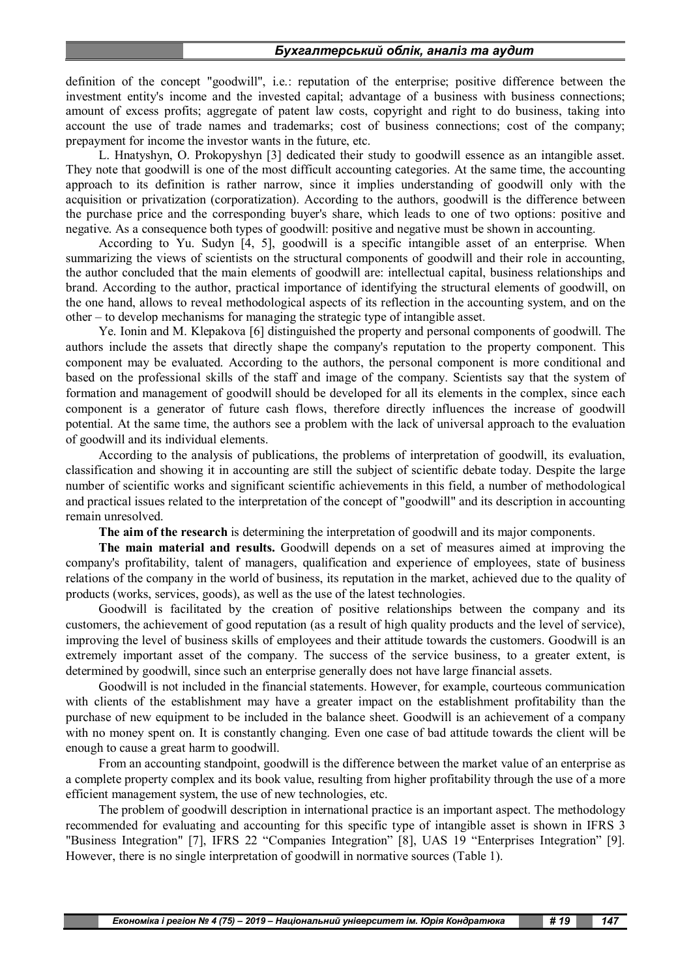#### *Бухгалтерський облік, аналіз та аудит*

definition of the concept "goodwill", i.e.: reputation of the enterprise; positive difference between the investment entity's income and the invested capital; advantage of a business with business connections; amount of excess profits; aggregate of patent law costs, copyright and right to do business, taking into account the use of trade names and trademarks; cost of business connections; cost of the company; prepayment for income the investor wants in the future, etc.

L. Hnatyshyn, O. Prokopyshyn [3] dedicated their study to goodwill essence as an intangible asset. They note that goodwill is one of the most difficult accounting categories. At the same time, the accounting approach to its definition is rather narrow, since it implies understanding of goodwill only with the acquisition or privatization (corporatization). According to the authors, goodwill is the difference between the purchase price and the corresponding buyer's share, which leads to one of two options: positive and negative. As a consequence both types of goodwill: positive and negative must be shown in accounting.

According to Yu. Sudyn [4, 5], goodwill is a specific intangible asset of an enterprise. When summarizing the views of scientists on the structural components of goodwill and their role in accounting, the author concluded that the main elements of goodwill are: intellectual capital, business relationships and brand. According to the author, practical importance of identifying the structural elements of goodwill, on the one hand, allows to reveal methodological aspects of its reflection in the accounting system, and on the other – to develop mechanisms for managing the strategic type of intangible asset.

Ye. Ionin and M. Klepakova [6] distinguished the property and personal components of goodwill. The authors include the assets that directly shape the company's reputation to the property component. This component may be evaluated. According to the authors, the personal component is more conditional and based on the professional skills of the staff and image of the company. Scientists say that the system of formation and management of goodwill should be developed for all its elements in the complex, since each component is a generator of future cash flows, therefore directly influences the increase of goodwill potential. At the same time, the authors see a problem with the lack of universal approach to the evaluation of goodwill and its individual elements.

According to the analysis of publications, the problems of interpretation of goodwill, its evaluation, classification and showing it in accounting are still the subject of scientific debate today. Despite the large number of scientific works and significant scientific achievements in this field, a number of methodological and practical issues related to the interpretation of the concept of "goodwill" and its description in accounting remain unresolved.

**The aim of the research** is determining the interpretation of goodwill and its major components.

**The main material and results.** Goodwill depends on a set of measures aimed at improving the company's profitability, talent of managers, qualification and experience of employees, state of business relations of the company in the world of business, its reputation in the market, achieved due to the quality of products (works, services, goods), as well as the use of the latest technologies.

Goodwill is facilitated by the creation of positive relationships between the company and its customers, the achievement of good reputation (as a result of high quality products and the level of service), improving the level of business skills of employees and their attitude towards the customers. Goodwill is an extremely important asset of the company. The success of the service business, to a greater extent, is determined by goodwill, since such an enterprise generally does not have large financial assets.

Goodwill is not included in the financial statements. However, for example, courteous communication with clients of the establishment may have a greater impact on the establishment profitability than the purchase of new equipment to be included in the balance sheet. Goodwill is an achievement of a company with no money spent on. It is constantly changing. Even one case of bad attitude towards the client will be enough to cause a great harm to goodwill.

From an accounting standpoint, goodwill is the difference between the market value of an enterprise as a complete property complex and its book value, resulting from higher profitability through the use of a more efficient management system, the use of new technologies, etc.

The problem of goodwill description in international practice is an important aspect. The methodology recommended for evaluating and accounting for this specific type of intangible asset is shown in IFRS 3 "Business Integration" [7], IFRS 22 "Companies Integration" [8], UAS 19 "Enterprises Integration" [9]. However, there is no single interpretation of goodwill in normative sources (Table 1).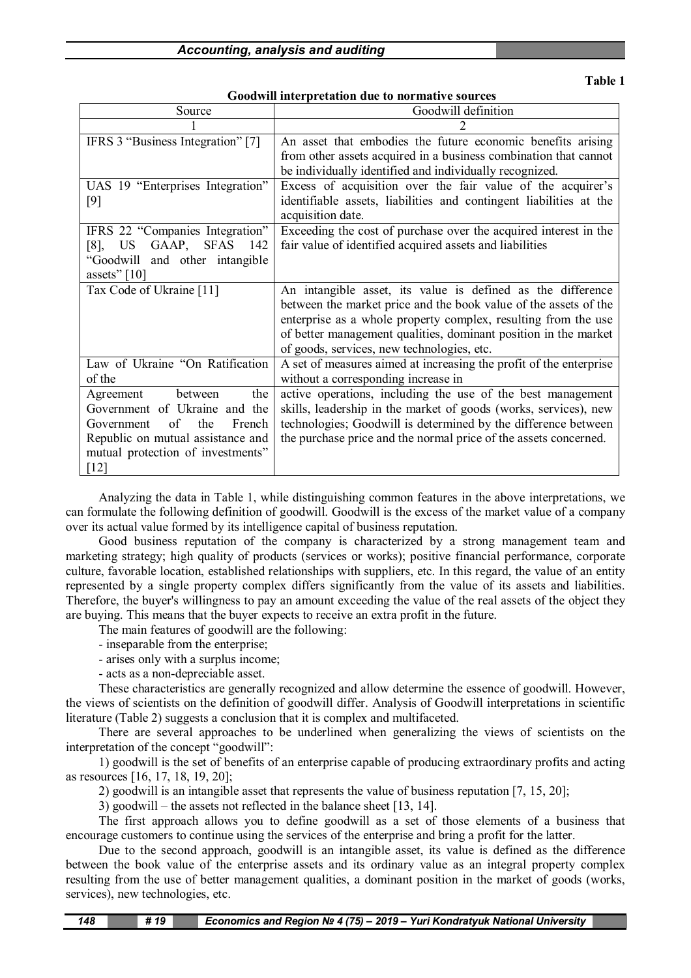**Goodwill interpretation due to normative sources**

| Source                                | Goodwill definition                                                                                       |  |  |
|---------------------------------------|-----------------------------------------------------------------------------------------------------------|--|--|
|                                       |                                                                                                           |  |  |
| IFRS 3 "Business Integration" [7]     | An asset that embodies the future economic benefits arising                                               |  |  |
|                                       | from other assets acquired in a business combination that cannot                                          |  |  |
|                                       | be individually identified and individually recognized.                                                   |  |  |
| UAS 19 "Enterprises Integration"      | Excess of acquisition over the fair value of the acquirer's                                               |  |  |
| [9]                                   | identifiable assets, liabilities and contingent liabilities at the<br>acquisition date.                   |  |  |
| IFRS 22 "Companies Integration"       | Exceeding the cost of purchase over the acquired interest in the                                          |  |  |
| GAAP, SFAS<br><b>US</b><br>142<br>[8] | fair value of identified acquired assets and liabilities                                                  |  |  |
| "Goodwill and other intangible"       |                                                                                                           |  |  |
| assets" $[10]$                        |                                                                                                           |  |  |
| Tax Code of Ukraine [11]              | An intangible asset, its value is defined as the difference                                               |  |  |
|                                       | between the market price and the book value of the assets of the                                          |  |  |
|                                       | enterprise as a whole property complex, resulting from the use                                            |  |  |
|                                       | of better management qualities, dominant position in the market                                           |  |  |
| Law of Ukraine "On Ratification       | of goods, services, new technologies, etc.                                                                |  |  |
| of the                                | A set of measures aimed at increasing the profit of the enterprise<br>without a corresponding increase in |  |  |
|                                       |                                                                                                           |  |  |
| between<br>the<br>Agreement           | active operations, including the use of the best management                                               |  |  |
| Government of Ukraine and the         | skills, leadership in the market of goods (works, services), new                                          |  |  |
| of<br>the<br>French<br>Government     | technologies; Goodwill is determined by the difference between                                            |  |  |
| Republic on mutual assistance and     | the purchase price and the normal price of the assets concerned.                                          |  |  |
| mutual protection of investments"     |                                                                                                           |  |  |
| $[12]$                                |                                                                                                           |  |  |

Analyzing the data in Table 1, while distinguishing common features in the above interpretations, we can formulate the following definition of goodwill. Goodwill is the excess of the market value of a company over its actual value formed by its intelligence capital of business reputation.

Good business reputation of the company is characterized by a strong management team and marketing strategy; high quality of products (services or works); positive financial performance, corporate culture, favorable location, established relationships with suppliers, etc. In this regard, the value of an entity represented by a single property complex differs significantly from the value of its assets and liabilities. Therefore, the buyer's willingness to pay an amount exceeding the value of the real assets of the object they are buying. This means that the buyer expects to receive an extra profit in the future.

The main features of goodwill are the following:

- inseparable from the enterprise;

- arises only with a surplus income;

- acts as a non-depreciable asset.

These characteristics are generally recognized and allow determine the essence of goodwill. However, the views of scientists on the definition of goodwill differ. Analysis of Goodwill interpretations in scientific literature (Table 2) suggests a conclusion that it is complex and multifaceted.

There are several approaches to be underlined when generalizing the views of scientists on the interpretation of the concept "goodwill":

1) goodwill is the set of benefits of an enterprise capable of producing extraordinary profits and acting as resources [16, 17, 18, 19, 20];

2) goodwill is an intangible asset that represents the value of business reputation [7, 15, 20];

3) goodwill – the assets not reflected in the balance sheet [13, 14].

The first approach allows you to define goodwill as a set of those elements of a business that encourage customers to continue using the services of the enterprise and bring a profit for the latter.

Due to the second approach, goodwill is an intangible asset, its value is defined as the difference between the book value of the enterprise assets and its ordinary value as an integral property complex resulting from the use of better management qualities, a dominant position in the market of goods (works, services), new technologies, etc.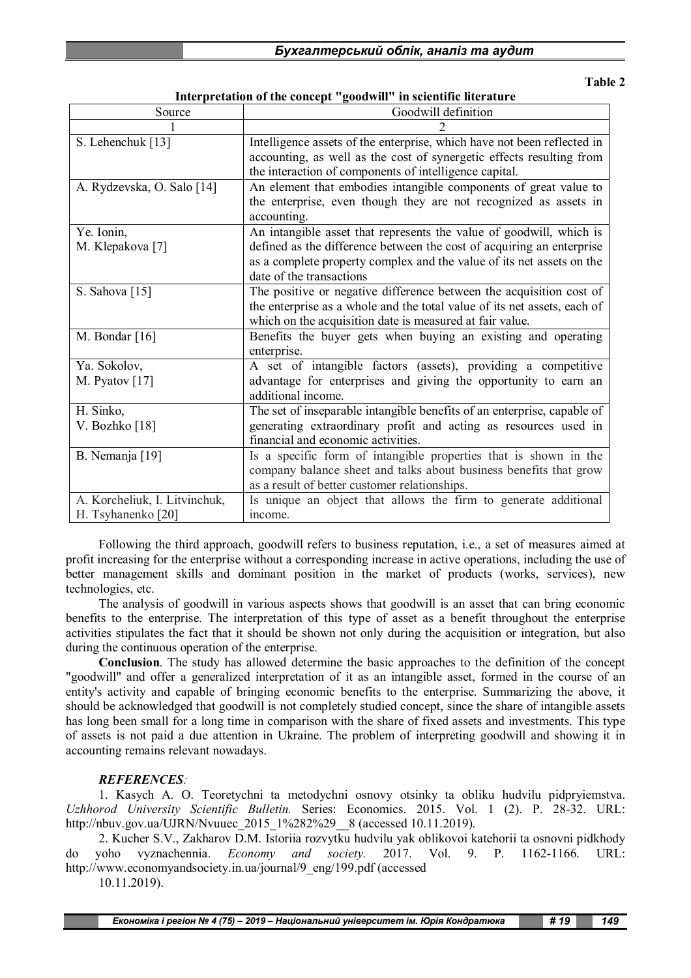| Бухгалтерський облік, аналіз та аудит |  |  |  |
|---------------------------------------|--|--|--|
|                                       |  |  |  |

**Interpretation of the concept "goodwill" in scientific literature**

| Source                                              | Goodwill definition                                                                                                                                                                                                                               |
|-----------------------------------------------------|---------------------------------------------------------------------------------------------------------------------------------------------------------------------------------------------------------------------------------------------------|
|                                                     |                                                                                                                                                                                                                                                   |
| S. Lehenchuk [13]                                   | Intelligence assets of the enterprise, which have not been reflected in<br>accounting, as well as the cost of synergetic effects resulting from<br>the interaction of components of intelligence capital.                                         |
| A. Rydzevska, O. Salo [14]                          | An element that embodies intangible components of great value to<br>the enterprise, even though they are not recognized as assets in<br>accounting.                                                                                               |
| Ye. Ionin,<br>M. Klepakova [7]                      | An intangible asset that represents the value of goodwill, which is<br>defined as the difference between the cost of acquiring an enterprise<br>as a complete property complex and the value of its net assets on the<br>date of the transactions |
| S. Sahova [15]                                      | The positive or negative difference between the acquisition cost of<br>the enterprise as a whole and the total value of its net assets, each of<br>which on the acquisition date is measured at fair value.                                       |
| M. Bondar $[16]$                                    | Benefits the buyer gets when buying an existing and operating<br>enterprise.                                                                                                                                                                      |
| Ya. Sokolov,<br>M. Pyatov $[17]$                    | A set of intangible factors (assets), providing a competitive<br>advantage for enterprises and giving the opportunity to earn an<br>additional income.                                                                                            |
| H. Sinko,<br>V. Bozhko [18]                         | The set of inseparable intangible benefits of an enterprise, capable of<br>generating extraordinary profit and acting as resources used in<br>financial and economic activities.                                                                  |
| B. Nemanja [19]                                     | Is a specific form of intangible properties that is shown in the<br>company balance sheet and talks about business benefits that grow<br>as a result of better customer relationships.                                                            |
| A. Korcheliuk, I. Litvinchuk,<br>H. Tsyhanenko [20] | Is unique an object that allows the firm to generate additional<br>income.                                                                                                                                                                        |

Following the third approach, goodwill refers to business reputation, i.e., a set of measures aimed at profit increasing for the enterprise without a corresponding increase in active operations, including the use of better management skills and dominant position in the market of products (works, services), new technologies, etc.

The analysis of goodwill in various aspects shows that goodwill is an asset that can bring economic benefits to the enterprise. The interpretation of this type of asset as a benefit throughout the enterprise activities stipulates the fact that it should be shown not only during the acquisition or integration, but also during the continuous operation of the enterprise.

**Conclusion**. The study has allowed determine the basic approaches to the definition of the concept "goodwill" and offer a generalized interpretation of it as an intangible asset, formed in the course of an entity's activity and capable of bringing economic benefits to the enterprise. Summarizing the above, it should be acknowledged that goodwill is not completely studied concept, since the share of intangible assets has long been small for a long time in comparison with the share of fixed assets and investments. This type of assets is not paid a due attention in Ukraine. The problem of interpreting goodwill and showing it in accounting remains relevant nowadays.

### *REFERENCES:*

1. Kasych A. O. Teoretychni ta metodychni osnovy otsinky ta obliku hudvilu pidpryiemstva. *Uzhhorod University Scientific Bulletin.* Series: Economics. 2015. Vol. 1 (2). P. 28-32. URL: http://nbuv.gov.ua/UJRN/Nvuuec\_2015\_1%282%29\_\_8 (accessed 10.11.2019).

2. Kucher S.V., Zakharov D.M. Istoriia rozvytku hudvilu yak oblikovoi katehorii ta osnovni pidkhody do yoho vyznachennia. *Economy and society.* 2017. Vol. 9. P. 1162-1166. URL: http://www.economyandsociety.in.ua/journal/9\_eng/199.pdf (accessed

10.11.2019).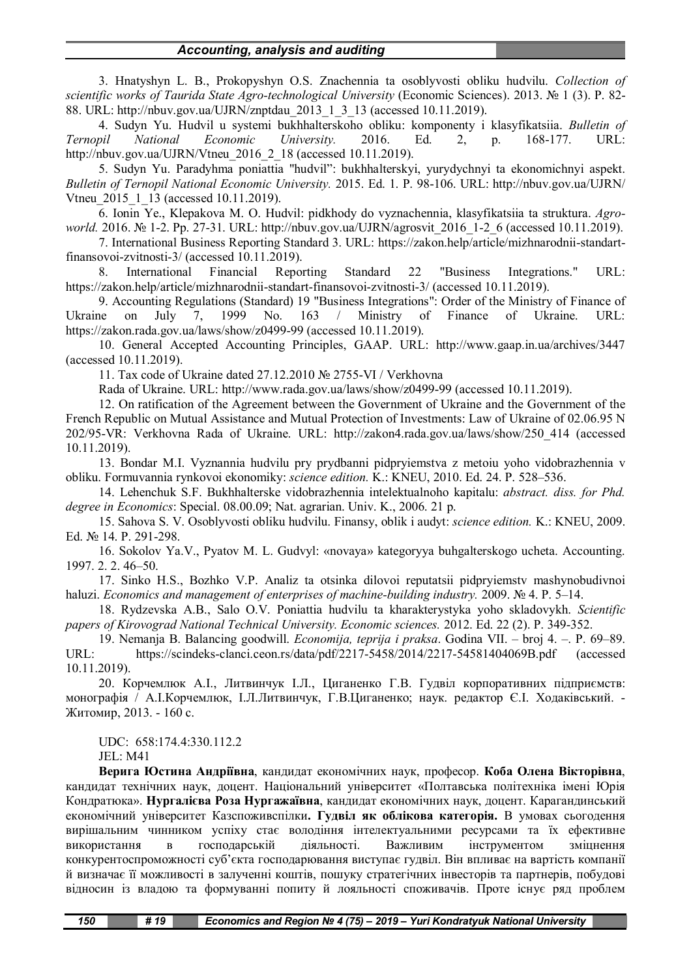#### *Accounting, analysis and auditing*

3. Hnatyshyn L. B., Prokopyshyn O.S. Znachennia ta osoblyvosti obliku hudvilu. *Collection of scientific works of Taurida State Agro-technological University* (Economic Sciences). 2013. № 1 (3). P. 82- 88. URL: http://nbuv.gov.ua/UJRN/znptdau\_2013\_1\_3\_13 (accessed 10.11.2019).

4. Sudyn Yu. Hudvil u systemi bukhhalterskoho obliku: komponenty i klasyfikatsiia. *Bulletin of Ternopil National Economic University.* 2016. Ed. 2, p. 168-177. URL: http://nbuv.gov.ua/UJRN/Vtneu\_2016\_2\_18 (accessed 10.11.2019).

5. Sudyn Yu. Paradyhma poniattia "hudvil": bukhhalterskyi, yurydychnyi ta ekonomichnyi aspekt. *Bulletin of Ternopil National Economic University.* 2015. Ed. 1. P. 98-106. URL: http://nbuv.gov.ua/UJRN/ Vtneu\_2015\_1\_13 (accessed 10.11.2019).

6. Ionin Ye., Klepakova M. O. Hudvil: pidkhody do vyznachennia, klasyfikatsiia ta struktura. *Agroworld.* 2016. № 1-2. Pp. 27-31. URL: http://nbuv.gov.ua/UJRN/agrosvit\_2016\_1-2\_6 (accessed 10.11.2019).

7. International Business Reporting Standard 3. URL: https://zakon.help/article/mizhnarodnii-standartfinansovoi-zvitnosti-3/ (accessed 10.11.2019).

8. International Financial Reporting Standard 22 "Business Integrations." URL: https://zakon.help/article/mizhnarodnii-standart-finansovoi-zvitnosti-3/ (accessed 10.11.2019).

9. Accounting Regulations (Standard) 19 "Business Integrations": Order of the Ministry of Finance of Ukraine on July 7, 1999 No. 163 / Ministry of Finance of Ukraine. URL: https://zakon.rada.gov.ua/laws/show/z0499-99 (accessed 10.11.2019).

10. General Accepted Accounting Principles, GAAP. URL: http://www.gaap.in.ua/archives/3447 (accessed 10.11.2019).

11. Tax code of Ukraine dated 27.12.2010 № 2755-VI / Verkhovna

Rada of Ukraine. URL: http://www.rada.gov.ua/laws/show/z0499-99 (accessed 10.11.2019).

12. On ratification of the Agreement between the Government of Ukraine and the Government of the French Republic on Mutual Assistance and Mutual Protection of Investments: Law of Ukraine of 02.06.95 N 202/95-VR: Verkhovna Rada of Ukraine. URL: http://zakon4.rada.gov.ua/laws/show/250\_414 (accessed 10.11.2019).

13. Bondar M.I. Vyznannia hudvilu pry prydbanni pidpryiemstva z metoiu yoho vidobrazhennia v obliku. Formuvannia rynkovoi ekonomiky: *science edition.* K.: KNEU, 2010. Ed. 24. P. 528–536.

14. Lehenchuk S.F. Bukhhalterske vidobrazhennia intelektualnoho kapitalu: *abstract. diss. for Phd. degree in Economics*: Special. 08.00.09; Nat. agrarian. Univ. K., 2006. 21 p.

15. Sahova S. V. Osoblyvosti obliku hudvilu. Finansy, oblik i audyt: *science edition.* K.: KNEU, 2009. Ed. № 14. P. 291-298.

16. Sokolov Ya.V., Pyatov M. L. Gudvyl: «novaya» kategoryya buhgalterskogo ucheta. Accounting. 1997. 2. 2. 46–50.

17. Sinko H.S., Bozhko V.P. Analiz ta otsinka dilovoi reputatsii pidpryiemstv mashynobudivnoi haluzi. *Economics and management of enterprises of machine-building industry.* 2009. № 4. P. 5–14.

18. Rydzevska A.B., Salo O.V. Poniattia hudvilu ta kharakterystyka yoho skladovykh. *Scientific papers of Kirovograd National Technical University. Economic sciences.* 2012. Ed. 22 (2). P. 349-352.

19. Nemanja B. Balancing goodwill. *Economija, teprija i praksa*. Godina VII. – broj 4. –. P. 69–89. URL: https://scindeks-clanci.ceon.rs/data/pdf/2217-5458/2014/2217-54581404069B.pdf (accessed 10.11.2019).

20. Корчемлюк А.І., Литвинчук І.Л., Циганенко Г.В. Гудвіл корпоративних підприємств: монографія / А.І.Корчемлюк, І.Л.Литвинчук, Г.В.Циганенко; наук. редактор Є.І. Ходаківський. - Житомир, 2013. - 160 с.

UDC: 658:174.4:330.112.2

JEL: M41

**Верига Юстина Андріївна**, кандидат економічних наук, професор. **Коба Олена Вікторівна**, кандидат технічних наук, доцент. Національний університет «Полтавська політехніка імені Юрія Кондратюка». **Нургалієва Роза Нургажаївна**, кандидат економічних наук, доцент. Карагандинський економічний університет Казспоживспілки**. Гудвіл як облікова категорія.** В умовах сьогодення вирішальним чинником успіху стає володіння інтелектуальними ресурсами та їх ефективне використання в господарській діяльності. Важливим інструментом зміцнення конкурентоспроможності суб'єкта господарювання виступає гудвіл. Він впливає на вартість компанії й визначає її можливості в залученні коштів, пошуку стратегічних інвесторів та партнерів, побудові відносин із владою та формуванні попиту й лояльності споживачів. Проте існує ряд проблем